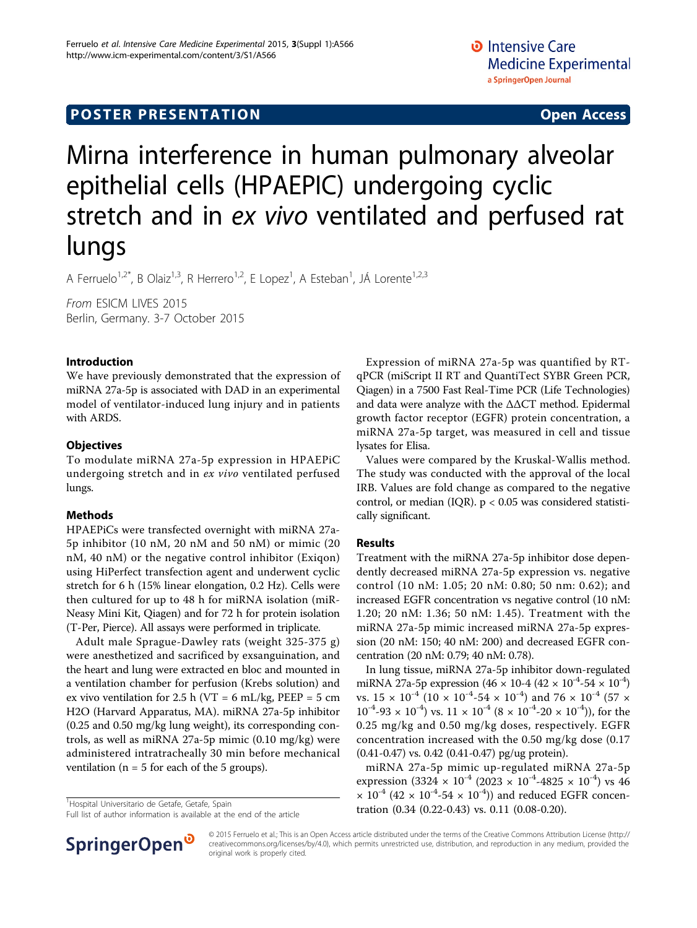## **POSTER PRESENTATION CONSUMING ACCESS**

# Mirna interference in human pulmonary alveolar epithelial cells (HPAEPIC) undergoing cyclic stretch and in ex vivo ventilated and perfused rat lungs

A Ferruelo<sup>1,2\*</sup>, B Olaiz<sup>1,3</sup>, R Herrero<sup>1,2</sup>, E Lopez<sup>1</sup>, A Esteban<sup>1</sup>, JÁ Lorente<sup>1,2,3</sup>

From ESICM LIVES 2015 Berlin, Germany. 3-7 October 2015

#### Introduction

We have previously demonstrated that the expression of miRNA 27a-5p is associated with DAD in an experimental model of ventilator-induced lung injury and in patients with ARDS.

#### **Objectives**

To modulate miRNA 27a-5p expression in HPAEPiC undergoing stretch and in ex vivo ventilated perfused lungs.

#### Methods

HPAEPiCs were transfected overnight with miRNA 27a-5p inhibitor (10 nM, 20 nM and 50 nM) or mimic (20 nM, 40 nM) or the negative control inhibitor (Exiqon) using HiPerfect transfection agent and underwent cyclic stretch for 6 h (15% linear elongation, 0.2 Hz). Cells were then cultured for up to 48 h for miRNA isolation (miR-Neasy Mini Kit, Qiagen) and for 72 h for protein isolation (T-Per, Pierce). All assays were performed in triplicate.

Adult male Sprague-Dawley rats (weight 325-375 g) were anesthetized and sacrificed by exsanguination, and the heart and lung were extracted en bloc and mounted in a ventilation chamber for perfusion (Krebs solution) and ex vivo ventilation for 2.5 h (VT = 6 mL/kg, PEEP = 5 cm H2O (Harvard Apparatus, MA). miRNA 27a-5p inhibitor (0.25 and 0.50 mg/kg lung weight), its corresponding controls, as well as miRNA 27a-5p mimic (0.10 mg/kg) were administered intratracheally 30 min before mechanical ventilation ( $n = 5$  for each of the 5 groups).

Hospital Universitario de Getafe, Getafe, Spain

Full list of author information is available at the end of the article



Expression of miRNA 27a-5p was quantified by RTqPCR (miScript II RT and QuantiTect SYBR Green PCR, Qiagen) in a 7500 Fast Real-Time PCR (Life Technologies) and data were analyze with the ΔΔCT method. Epidermal growth factor receptor (EGFR) protein concentration, a miRNA 27a-5p target, was measured in cell and tissue lysates for Elisa.

Values were compared by the Kruskal-Wallis method. The study was conducted with the approval of the local IRB. Values are fold change as compared to the negative control, or median (IQR).  $p < 0.05$  was considered statistically significant.

#### Results

Treatment with the miRNA 27a-5p inhibitor dose dependently decreased miRNA 27a-5p expression vs. negative control (10 nM: 1.05; 20 nM: 0.80; 50 nm: 0.62); and increased EGFR concentration vs negative control (10 nM: 1.20; 20 nM: 1.36; 50 nM: 1.45). Treatment with the miRNA 27a-5p mimic increased miRNA 27a-5p expression (20 nM: 150; 40 nM: 200) and decreased EGFR concentration (20 nM: 0.79; 40 nM: 0.78).

In lung tissue, miRNA 27a-5p inhibitor down-regulated miRNA 27a-5p expression  $(46 \times 10^{-4} (42 \times 10^{-4} - 54 \times 10^{-4})$ vs.  $15 \times 10^{-4}$  (10  $\times 10^{-4}$ -54  $\times 10^{-4}$ ) and 76  $\times 10^{-4}$  (57  $\times$  $10^{-4}$ -93 ×  $10^{-4}$ ) vs.  $11 \times 10^{-4}$  (8 ×  $10^{-4}$ -20 ×  $10^{-4}$ )), for the 0.25 mg/kg and 0.50 mg/kg doses, respectively. EGFR concentration increased with the 0.50 mg/kg dose (0.17 (0.41-0.47) vs. 0.42 (0.41-0.47) pg/ug protein).

miRNA 27a-5p mimic up-regulated miRNA 27a-5p expression (3324  $\times$  10<sup>-4</sup> (2023  $\times$  10<sup>-4</sup>-4825  $\times$  10<sup>-4</sup>) vs 46  $\times$  10<sup>-4</sup> (42  $\times$  10<sup>-4</sup>-54  $\times$  10<sup>-4</sup>)) and reduced EGFR concentration (0.34 (0.22-0.43) vs. 0.11 (0.08-0.20).

© 2015 Ferruelo et al.; This is an Open Access article distributed under the terms of the Creative Commons Attribution License [\(http://](http://creativecommons.org/licenses/by/4.0) [creativecommons.org/licenses/by/4.0](http://creativecommons.org/licenses/by/4.0)), which permits unrestricted use, distribution, and reproduction in any medium, provided the original work is properly cited.